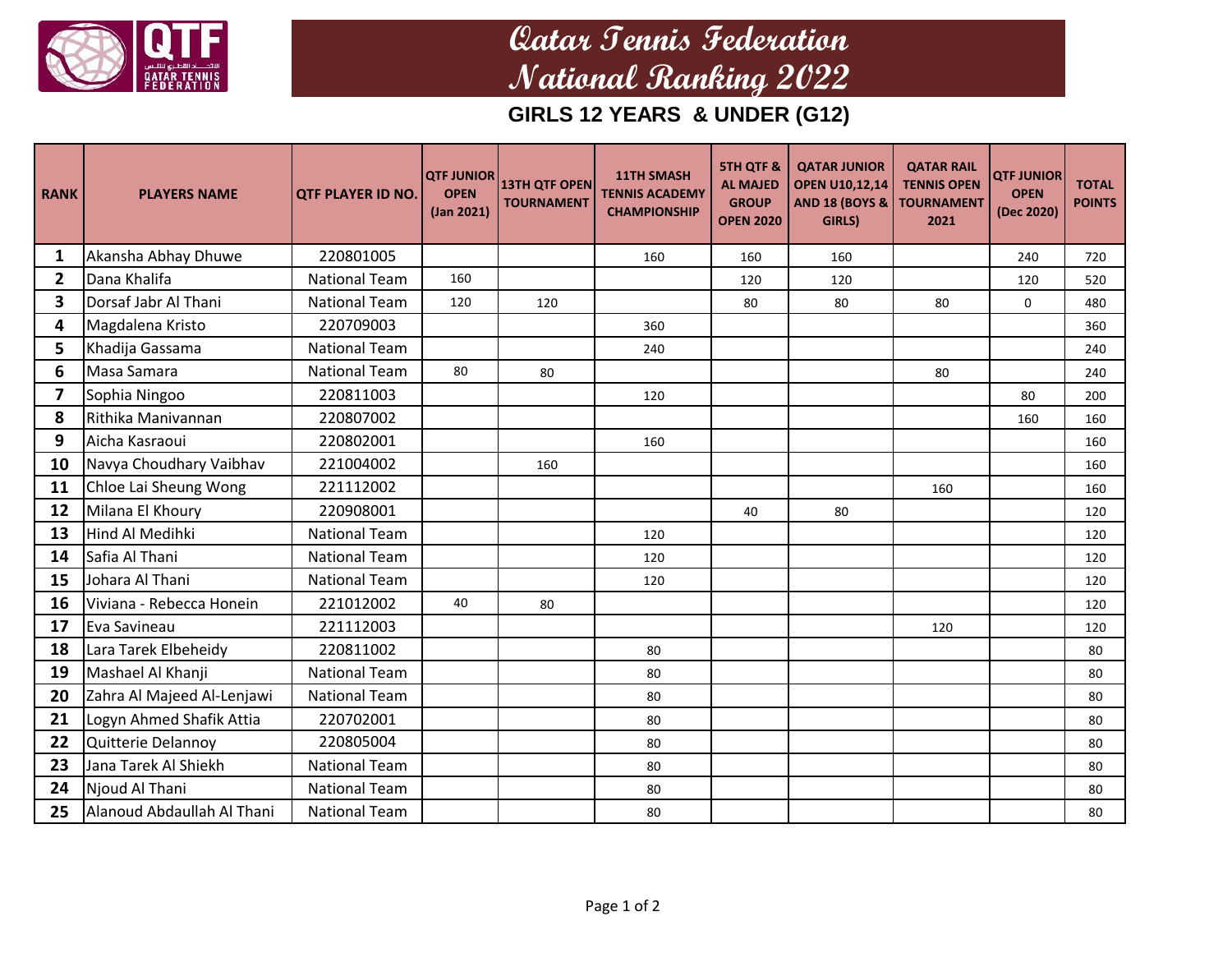

## **Qatar Tennis Federation National Ranking 2022**

**GIRLS 12 YEARS & UNDER (G12)**

| <b>RANK</b>  | <b>PLAYERS NAME</b>        | <b>QTF PLAYER ID NO.</b> | <b>QTF JUNIOR</b><br><b>OPEN</b><br>(Jan 2021) | <b>13TH QTF OPEN</b><br><b>TOURNAMENT</b> | <b>11TH SMASH</b><br><b>TENNIS ACADEMY</b><br><b>CHAMPIONSHIP</b> | <b>5TH QTF &amp;</b><br><b>AL MAJED</b><br><b>GROUP</b><br><b>OPEN 2020</b> | <b>QATAR JUNIOR</b><br><b>OPEN U10,12,14</b><br><b>AND 18 (BOYS &amp;</b><br>GIRLS) | <b>QATAR RAIL</b><br><b>TENNIS OPEN</b><br><b>TOURNAMENT</b><br>2021 | <b>QTF JUNIOR</b><br><b>OPEN</b><br>(Dec 2020) | <b>TOTAL</b><br><b>POINTS</b> |
|--------------|----------------------------|--------------------------|------------------------------------------------|-------------------------------------------|-------------------------------------------------------------------|-----------------------------------------------------------------------------|-------------------------------------------------------------------------------------|----------------------------------------------------------------------|------------------------------------------------|-------------------------------|
| 1            | Akansha Abhay Dhuwe        | 220801005                |                                                |                                           | 160                                                               | 160                                                                         | 160                                                                                 |                                                                      | 240                                            | 720                           |
| $\mathbf{2}$ | Dana Khalifa               | <b>National Team</b>     | 160                                            |                                           |                                                                   | 120                                                                         | 120                                                                                 |                                                                      | 120                                            | 520                           |
| 3            | Dorsaf Jabr Al Thani       | <b>National Team</b>     | 120                                            | 120                                       |                                                                   | 80                                                                          | 80                                                                                  | 80                                                                   | 0                                              | 480                           |
| 4            | Magdalena Kristo           | 220709003                |                                                |                                           | 360                                                               |                                                                             |                                                                                     |                                                                      |                                                | 360                           |
| 5            | Khadija Gassama            | <b>National Team</b>     |                                                |                                           | 240                                                               |                                                                             |                                                                                     |                                                                      |                                                | 240                           |
| 6            | Masa Samara                | <b>National Team</b>     | 80                                             | 80                                        |                                                                   |                                                                             |                                                                                     | 80                                                                   |                                                | 240                           |
| 7            | Sophia Ningoo              | 220811003                |                                                |                                           | 120                                                               |                                                                             |                                                                                     |                                                                      | 80                                             | 200                           |
| 8            | Rithika Manivannan         | 220807002                |                                                |                                           |                                                                   |                                                                             |                                                                                     |                                                                      | 160                                            | 160                           |
| 9            | Aicha Kasraoui             | 220802001                |                                                |                                           | 160                                                               |                                                                             |                                                                                     |                                                                      |                                                | 160                           |
| 10           | Navya Choudhary Vaibhav    | 221004002                |                                                | 160                                       |                                                                   |                                                                             |                                                                                     |                                                                      |                                                | 160                           |
| 11           | Chloe Lai Sheung Wong      | 221112002                |                                                |                                           |                                                                   |                                                                             |                                                                                     | 160                                                                  |                                                | 160                           |
| 12           | Milana El Khoury           | 220908001                |                                                |                                           |                                                                   | 40                                                                          | 80                                                                                  |                                                                      |                                                | 120                           |
| 13           | <b>Hind Al Medihki</b>     | <b>National Team</b>     |                                                |                                           | 120                                                               |                                                                             |                                                                                     |                                                                      |                                                | 120                           |
| 14           | Safia Al Thani             | <b>National Team</b>     |                                                |                                           | 120                                                               |                                                                             |                                                                                     |                                                                      |                                                | 120                           |
| 15           | Johara Al Thani            | <b>National Team</b>     |                                                |                                           | 120                                                               |                                                                             |                                                                                     |                                                                      |                                                | 120                           |
| 16           | Viviana - Rebecca Honein   | 221012002                | 40                                             | 80                                        |                                                                   |                                                                             |                                                                                     |                                                                      |                                                | 120                           |
| 17           | Eva Savineau               | 221112003                |                                                |                                           |                                                                   |                                                                             |                                                                                     | 120                                                                  |                                                | 120                           |
| 18           | Lara Tarek Elbeheidy       | 220811002                |                                                |                                           | 80                                                                |                                                                             |                                                                                     |                                                                      |                                                | 80                            |
| 19           | Mashael Al Khanji          | <b>National Team</b>     |                                                |                                           | 80                                                                |                                                                             |                                                                                     |                                                                      |                                                | 80                            |
| 20           | Zahra Al Majeed Al-Lenjawi | <b>National Team</b>     |                                                |                                           | 80                                                                |                                                                             |                                                                                     |                                                                      |                                                | 80                            |
| 21           | Logyn Ahmed Shafik Attia   | 220702001                |                                                |                                           | 80                                                                |                                                                             |                                                                                     |                                                                      |                                                | 80                            |
| 22           | Quitterie Delannoy         | 220805004                |                                                |                                           | 80                                                                |                                                                             |                                                                                     |                                                                      |                                                | 80                            |
| 23           | Jana Tarek Al Shiekh       | <b>National Team</b>     |                                                |                                           | 80                                                                |                                                                             |                                                                                     |                                                                      |                                                | 80                            |
| 24           | Njoud Al Thani             | <b>National Team</b>     |                                                |                                           | 80                                                                |                                                                             |                                                                                     |                                                                      |                                                | 80                            |
| 25           | Alanoud Abdaullah Al Thani | <b>National Team</b>     |                                                |                                           | 80                                                                |                                                                             |                                                                                     |                                                                      |                                                | 80                            |